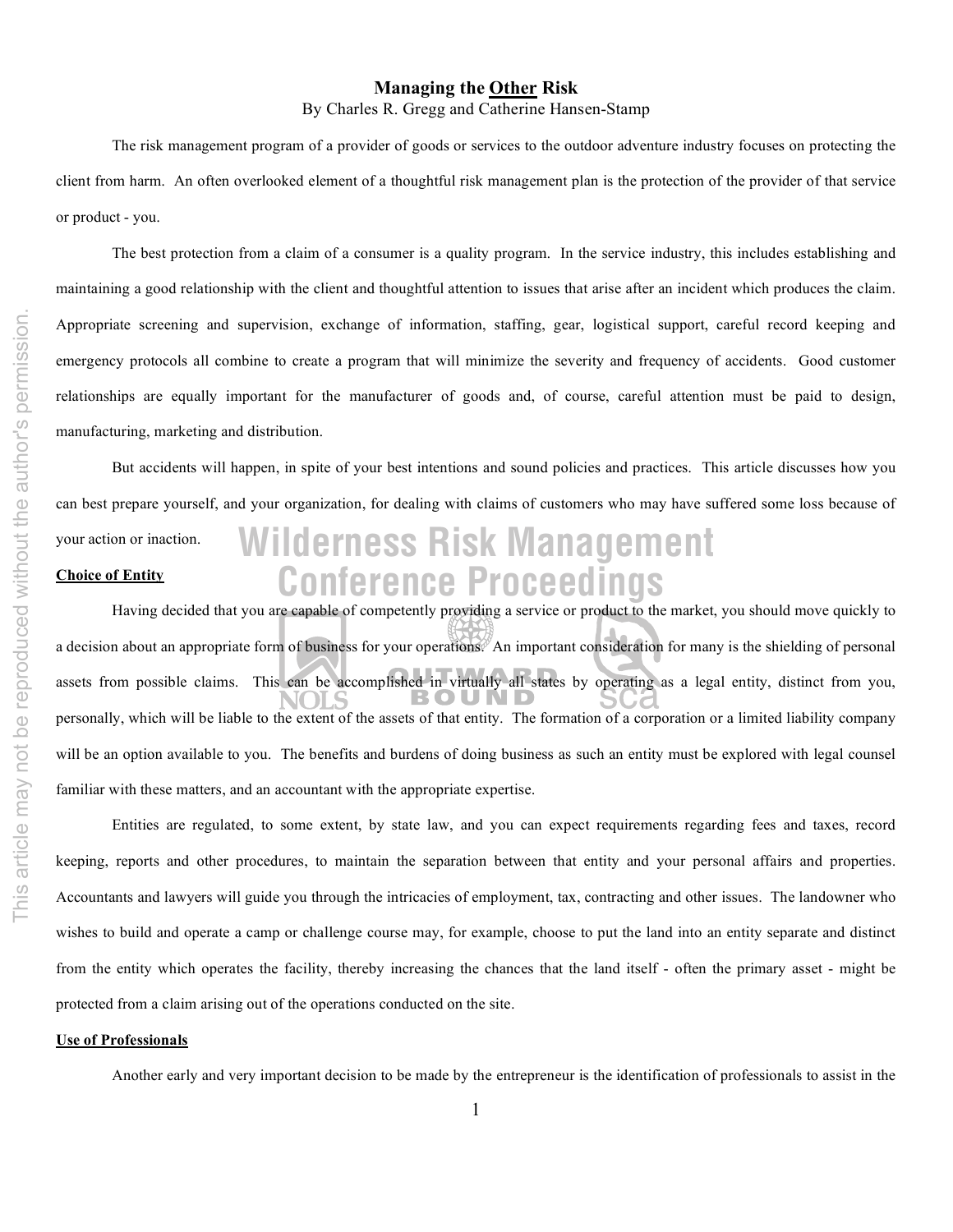# **Managing the Other Risk**

By Charles R. Gregg and Catherine Hansen-Stamp

The risk management program of a provider of goods or services to the outdoor adventure industry focuses on protecting the client from harm. An often overlooked element of a thoughtful risk management plan is the protection of the provider of that service or product - you.

The best protection from a claim of a consumer is a quality program. In the service industry, this includes establishing and maintaining a good relationship with the client and thoughtful attention to issues that arise after an incident which produces the claim. Appropriate screening and supervision, exchange of information, staffing, gear, logistical support, careful record keeping and emergency protocols all combine to create a program that will minimize the severity and frequency of accidents. Good customer relationships are equally important for the manufacturer of goods and, of course, careful attention must be paid to design, manufacturing, marketing and distribution.

**Conference Proceedings Wilderness Risk Management** But accidents will happen, in spite of your best intentions and sound policies and practices. This article discusses how you can best prepare yourself, and your organization, for dealing with claims of customers who may have suffered some loss because of your action or inaction. **Choice of Entity**

Having decided that you are capable of competently providing a service or product to the market, you should move quickly to a decision about an appropriate form of business for your operations. An important consideration for many is the shielding of personal assets from possible claims. This can be accomplished in virtually all states by operating as a legal entity, distinct from you, personally, which will be liable to the extent of the assets of that entity. The formation of a corporation or a limited liability company will be an option available to you. The benefits and burdens of doing business as such an entity must be explored with legal counsel familiar with these matters, and an accountant with the appropriate expertise.

Entities are regulated, to some extent, by state law, and you can expect requirements regarding fees and taxes, record keeping, reports and other procedures, to maintain the separation between that entity and your personal affairs and properties. Accountants and lawyers will guide you through the intricacies of employment, tax, contracting and other issues. The landowner who wishes to build and operate a camp or challenge course may, for example, choose to put the land into an entity separate and distinct from the entity which operates the facility, thereby increasing the chances that the land itself - often the primary asset - might be protected from a claim arising out of the operations conducted on the site.

### **Use of Professionals**

Another early and very important decision to be made by the entrepreneur is the identification of professionals to assist in the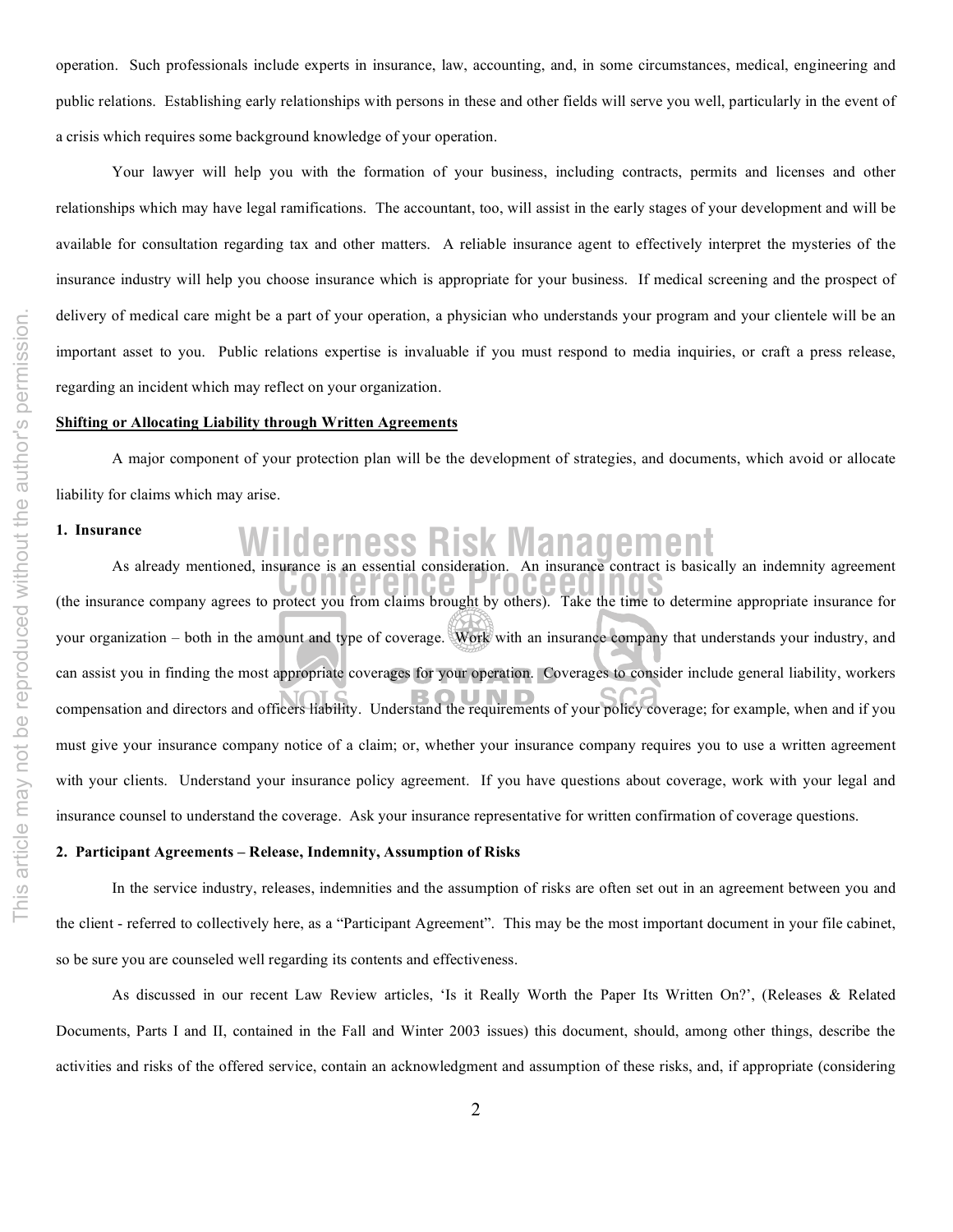operation. Such professionals include experts in insurance, law, accounting, and, in some circumstances, medical, engineering and public relations. Establishing early relationships with persons in these and other fields will serve you well, particularly in the event of a crisis which requires some background knowledge of your operation.

Your lawyer will help you with the formation of your business, including contracts, permits and licenses and other relationships which may have legal ramifications. The accountant, too, will assist in the early stages of your development and will be available for consultation regarding tax and other matters. A reliable insurance agent to effectively interpret the mysteries of the insurance industry will help you choose insurance which is appropriate for your business. If medical screening and the prospect of delivery of medical care might be a part of your operation, a physician who understands your program and your clientele will be an important asset to you. Public relations expertise is invaluable if you must respond to media inquiries, or craft a press release, regarding an incident which may reflect on your organization.

#### **Shifting or Allocating Liability through Written Agreements**

A major component of your protection plan will be the development of strategies, and documents, which avoid or allocate liability for claims which may arise.

## **1. Insurance**

# **Wilderness Risk Management** As already mentioned, insurance is an essential consideration. An insurance contract is basically an indemnity agreement

As aiready mentioned, insurance is an essential consideration. An insurance contract is basically an indemnity agreement<br>(the insurance company agrees to protect you from claims brought by others). Take the time to determi your organization – both in the amount and type of coverage. Work with an insurance company that understands your industry, and can assist you in finding the most appropriate coverages for your operation. Coverages to consider include general liability, workers compensation and directors and officers liability. Understand the requirements of your policy coverage; for example, when and if you must give your insurance company notice of a claim; or, whether your insurance company requires you to use a written agreement with your clients. Understand your insurance policy agreement. If you have questions about coverage, work with your legal and insurance counsel to understand the coverage. Ask your insurance representative for written confirmation of coverage questions.

### **2. Participant Agreements – Release, Indemnity, Assumption of Risks**

In the service industry, releases, indemnities and the assumption of risks are often set out in an agreement between you and the client - referred to collectively here, as a "Participant Agreement". This may be the most important document in your file cabinet, so be sure you are counseled well regarding its contents and effectiveness.

As discussed in our recent Law Review articles, 'Is it Really Worth the Paper Its Written On?', (Releases & Related Documents, Parts I and II, contained in the Fall and Winter 2003 issues) this document, should, among other things, describe the activities and risks of the offered service, contain an acknowledgment and assumption of these risks, and, if appropriate (considering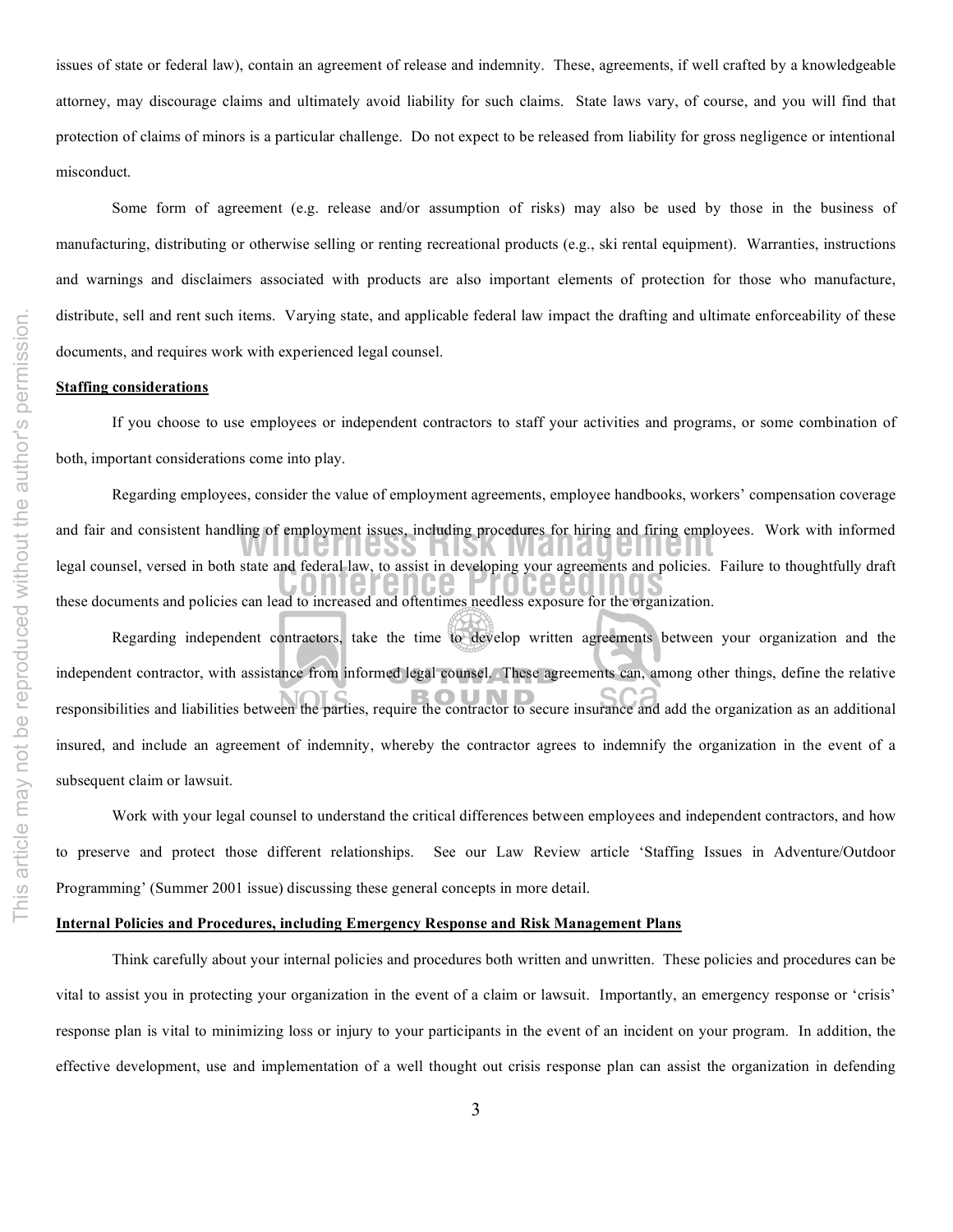issues of state or federal law), contain an agreement of release and indemnity. These, agreements, if well crafted by a knowledgeable attorney, may discourage claims and ultimately avoid liability for such claims. State laws vary, of course, and you will find that protection of claims of minors is a particular challenge. Do not expect to be released from liability for gross negligence or intentional misconduct.

Some form of agreement (e.g. release and/or assumption of risks) may also be used by those in the business of manufacturing, distributing or otherwise selling or renting recreational products (e.g., ski rental equipment). Warranties, instructions and warnings and disclaimers associated with products are also important elements of protection for those who manufacture, distribute, sell and rent such items. Varying state, and applicable federal law impact the drafting and ultimate enforceability of these documents, and requires work with experienced legal counsel.

## **Staffing considerations**

If you choose to use employees or independent contractors to staff your activities and programs, or some combination of both, important considerations come into play.

Legal counsel, versed in both state and rederal law, to assist in developing your agreements and policies.<br>
these documents and policies can lead to increased and oftentimes needless exposure for the organization. and fair and consistent handling of employment issues, including procedures for hiring and firing employees. Work with informed Regarding employees, consider the value of employment agreements, employee handbooks, workers' compensation coverage legal counsel, versed in both state and federal law, to assist in developing your agreements and policies. Failure to thoughtfully draft

Regarding independent contractors, take the time to develop written agreements between your organization and the independent contractor, with assistance from informed legal counsel. These agreements can, among other things, define the relative responsibilities and liabilities between the parties, require the contractor to secure insurance and add the organization as an additional insured, and include an agreement of indemnity, whereby the contractor agrees to indemnify the organization in the event of a subsequent claim or lawsuit.

Work with your legal counsel to understand the critical differences between employees and independent contractors, and how to preserve and protect those different relationships. See our Law Review article 'Staffing Issues in Adventure/Outdoor Programming' (Summer 2001 issue) discussing these general concepts in more detail.

## **Internal Policies and Procedures, including Emergency Response and Risk Management Plans**

Think carefully about your internal policies and procedures both written and unwritten. These policies and procedures can be vital to assist you in protecting your organization in the event of a claim or lawsuit. Importantly, an emergency response or 'crisis' response plan is vital to minimizing loss or injury to your participants in the event of an incident on your program. In addition, the effective development, use and implementation of a well thought out crisis response plan can assist the organization in defending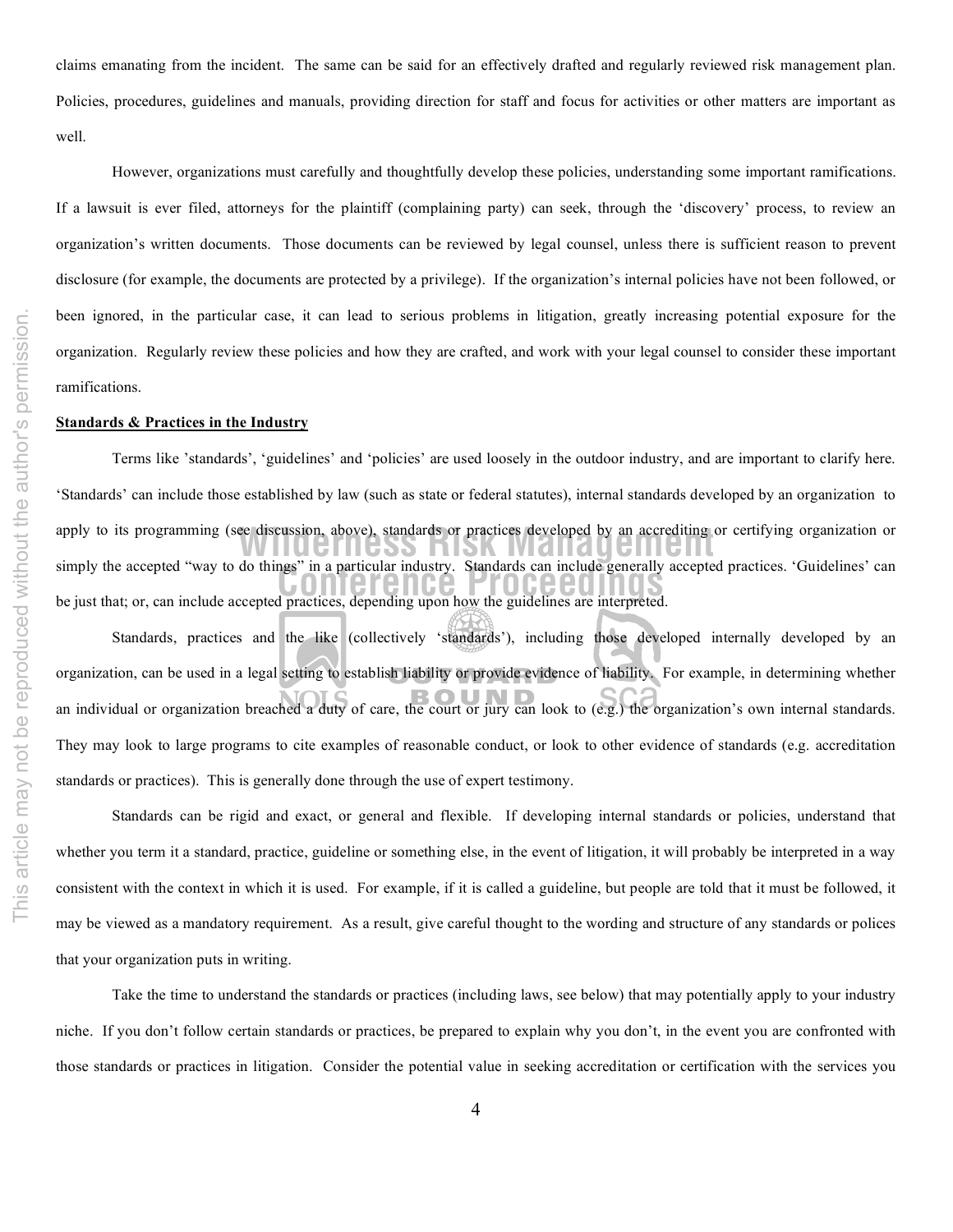claims emanating from the incident. The same can be said for an effectively drafted and regularly reviewed risk management plan. Policies, procedures, guidelines and manuals, providing direction for staff and focus for activities or other matters are important as well.

However, organizations must carefully and thoughtfully develop these policies, understanding some important ramifications. If a lawsuit is ever filed, attorneys for the plaintiff (complaining party) can seek, through the 'discovery' process, to review an organization's written documents. Those documents can be reviewed by legal counsel, unless there is sufficient reason to prevent disclosure (for example, the documents are protected by a privilege). If the organization's internal policies have not been followed, or been ignored, in the particular case, it can lead to serious problems in litigation, greatly increasing potential exposure for the organization. Regularly review these policies and how they are crafted, and work with your legal counsel to consider these important ramifications.

### **Standards & Practices in the Industry**

simply the accepted "way to do things" in a particular industry. Standards can include generally accepted practices. 'Guidelines' can<br>he just that: or, can include accepted practices, depending upon how the quidelines are apply to its programming (see discussion, above), standards or practices developed by an accrediting or certifying organization or<br>
and the control in the state of the state of the state of the state of the state of the st Terms like 'standards', 'guidelines' and 'policies' are used loosely in the outdoor industry, and are important to clarify here. 'Standards' can include those established by law (such as state or federal statutes), internal standards developed by an organization to be just that; or, can include accepted practices, depending upon how the guidelines are interpreted.

Standards, practices and the like (collectively 'standards'), including those developed internally developed by an organization, can be used in a legal setting to establish liability or provide evidence of liability. For example, in determining whether an individual or organization breached a duty of care, the court or jury can look to (e.g.) the organization's own internal standards. They may look to large programs to cite examples of reasonable conduct, or look to other evidence of standards (e.g. accreditation standards or practices). This is generally done through the use of expert testimony.

Standards can be rigid and exact, or general and flexible. If developing internal standards or policies, understand that whether you term it a standard, practice, guideline or something else, in the event of litigation, it will probably be interpreted in a way consistent with the context in which it is used. For example, if it is called a guideline, but people are told that it must be followed, it may be viewed as a mandatory requirement. As a result, give careful thought to the wording and structure of any standards or polices that your organization puts in writing.

Take the time to understand the standards or practices (including laws, see below) that may potentially apply to your industry niche. If you don't follow certain standards or practices, be prepared to explain why you don't, in the event you are confronted with those standards or practices in litigation. Consider the potential value in seeking accreditation or certification with the services you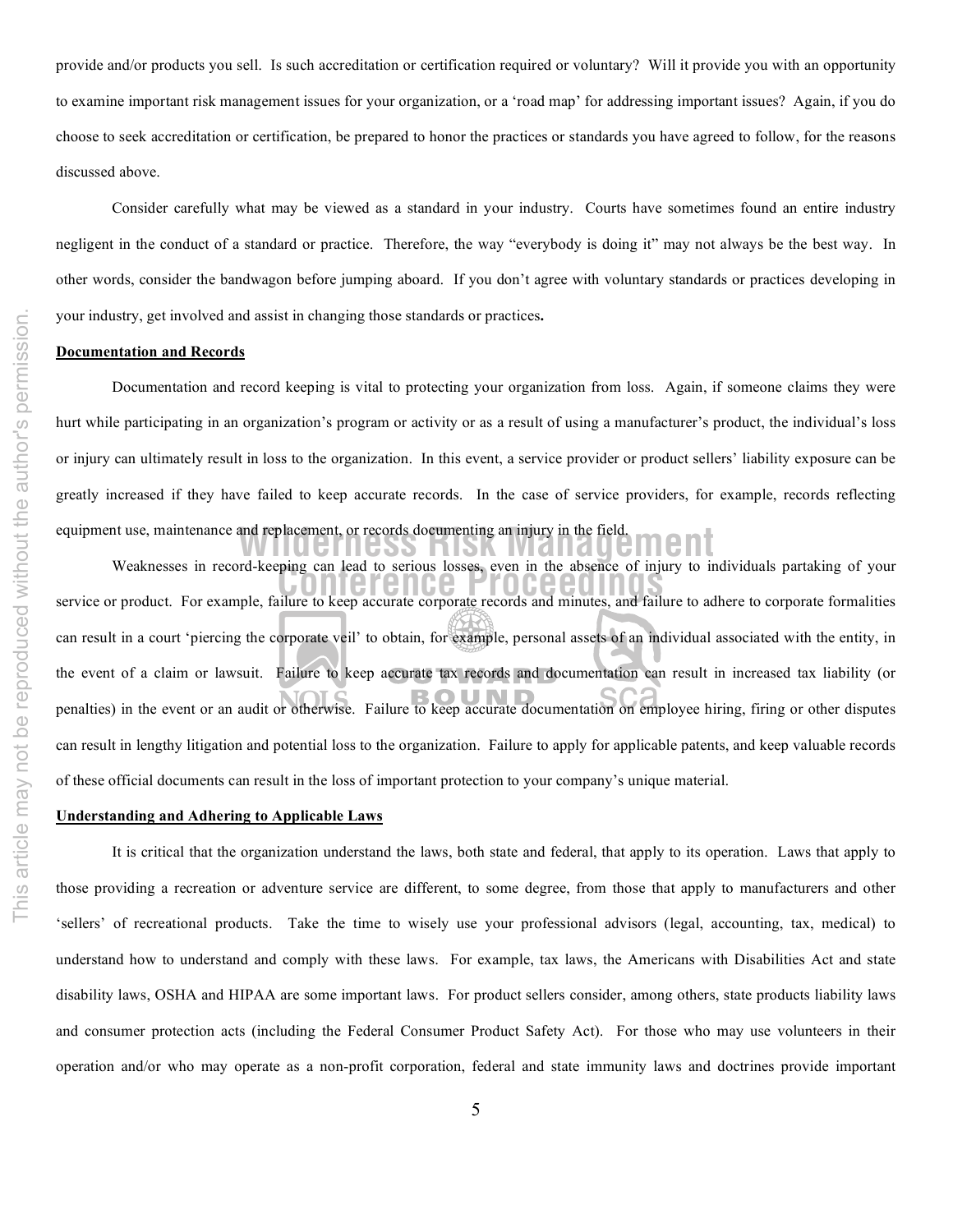provide and/or products you sell. Is such accreditation or certification required or voluntary? Will it provide you with an opportunity to examine important risk management issues for your organization, or a 'road map' for addressing important issues? Again, if you do choose to seek accreditation or certification, be prepared to honor the practices or standards you have agreed to follow, for the reasons discussed above.

Consider carefully what may be viewed as a standard in your industry. Courts have sometimes found an entire industry negligent in the conduct of a standard or practice. Therefore, the way "everybody is doing it" may not always be the best way. In other words, consider the bandwagon before jumping aboard. If you don't agree with voluntary standards or practices developing in your industry, get involved and assist in changing those standards or practices**.**

# **Documentation and Records**

**Example 19 and replacement**, or records documenting an injury in the field. Documentation and record keeping is vital to protecting your organization from loss. Again, if someone claims they were hurt while participating in an organization's program or activity or as a result of using a manufacturer's product, the individual's loss or injury can ultimately result in loss to the organization. In this event, a service provider or product sellers' liability exposure can be greatly increased if they have failed to keep accurate records. In the case of service providers, for example, records reflecting

Weaknesses in record-keeping can lead to serious losses, even in the absence or injury to individuals partaking or your<br>service or product. For example, failure to keep accurate corporate records and minutes, and failure t Weaknesses in record-keeping can lead to serious losses, even in the absence of injury to individuals partaking of your can result in a court 'piercing the corporate veil' to obtain, for example, personal assets of an individual associated with the entity, in the event of a claim or lawsuit. Failure to keep accurate tax records and documentation can result in increased tax liability (or penalties) in the event or an audit or otherwise. Failure to keep accurate documentation on employee hiring, firing or other disputes can result in lengthy litigation and potential loss to the organization. Failure to apply for applicable patents, and keep valuable records of these official documents can result in the loss of important protection to your company's unique material.

## **Understanding and Adhering to Applicable Laws**

It is critical that the organization understand the laws, both state and federal, that apply to its operation. Laws that apply to those providing a recreation or adventure service are different, to some degree, from those that apply to manufacturers and other 'sellers' of recreational products. Take the time to wisely use your professional advisors (legal, accounting, tax, medical) to understand how to understand and comply with these laws. For example, tax laws, the Americans with Disabilities Act and state disability laws, OSHA and HIPAA are some important laws. For product sellers consider, among others, state products liability laws and consumer protection acts (including the Federal Consumer Product Safety Act). For those who may use volunteers in their operation and/or who may operate as a non-profit corporation, federal and state immunity laws and doctrines provide important